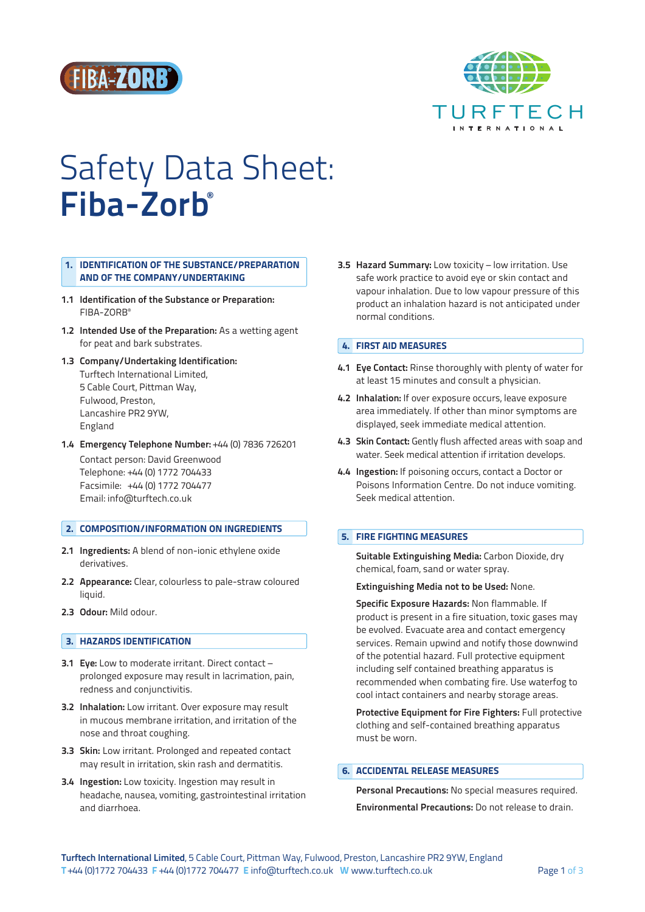



# Safety Data Sheet: Fiba-Zorb®

# 1. IDENTIFICATION OF THE SUBSTANCE/PREPARATION AND OF THE COMPANY/UNDERTAKING

- 1.1 Identification of the Substance or Preparation: FIBA‑ZORB®
- 1.2 Intended Use of the Preparation: As a wetting agent for peat and bark substrates.
- 1.3 Company/Undertaking Identification: Turftech International Limited, 5 Cable Court, Pittman Way, Fulwood, Preston, Lancashire PR2 9YW, England
- 1.4 Emergency Telephone Number: +44 (0) 7836 726201 Contact person: David Greenwood Telephone: +44 (0) 1772 704433 Facsimile: +44 (0) 1772 704477 Email: info@turftech.co.uk

# 2. COMPOSITION/INFORMATION ON INGREDIENTS

- 2.1 Ingredients: A blend of non-ionic ethylene oxide derivatives.
- 2.2 Appearance: Clear, colourless to pale-straw coloured liquid.
- 2.3 Odour: Mild odour.

## **3. HAZARDS IDENTIFICATION**

- 3.1 Eye: Low to moderate irritant. Direct contact prolonged exposure may result in lacrimation, pain, redness and conjunctivitis.
- 3.2 Inhalation: Low irritant. Over exposure may result in mucous membrane irritation, and irritation of the nose and throat coughing.
- 3.3 Skin: Low irritant. Prolonged and repeated contact may result in irritation, skin rash and dermatitis.
- 3.4 Ingestion: Low toxicity. Ingestion may result in headache, nausea, vomiting, gastrointestinal irritation and diarrhoea.

3.5 Hazard Summary: Low toxicity – low irritation. Use safe work practice to avoid eye or skin contact and vapour inhalation. Due to low vapour pressure of this product an inhalation hazard is not anticipated under normal conditions.

## 4. FIRST AID MEASURES

- 4.1 Eye Contact: Rinse thoroughly with plenty of water for at least 15 minutes and consult a physician.
- 4.2 Inhalation: If over exposure occurs, leave exposure area immediately. If other than minor symptoms are displayed, seek immediate medical attention.
- 4.3 Skin Contact: Gently flush affected areas with soap and water. Seek medical attention if irritation develops.
- 4.4 Ingestion: If poisoning occurs, contact a Doctor or Poisons Information Centre. Do not induce vomiting. Seek medical attention.

# 5. FIRE FIGHTING MEASURES

Suitable Extinguishing Media: Carbon Dioxide, dry chemical, foam, sand or water spray.

#### Extinguishing Media not to be Used: None.

Specific Exposure Hazards: Non flammable. If product is present in a fire situation, toxic gases may be evolved. Evacuate area and contact emergency services. Remain upwind and notify those downwind of the potential hazard. Full protective equipment including self contained breathing apparatus is recommended when combating fire. Use waterfog to cool intact containers and nearby storage areas.

Protective Equipment for Fire Fighters: Full protective clothing and self‑contained breathing apparatus must be worn.

## 6. ACCIDENTAL RELEASE MEASURES

Personal Precautions: No special measures required. Environmental Precautions: Do not release to drain.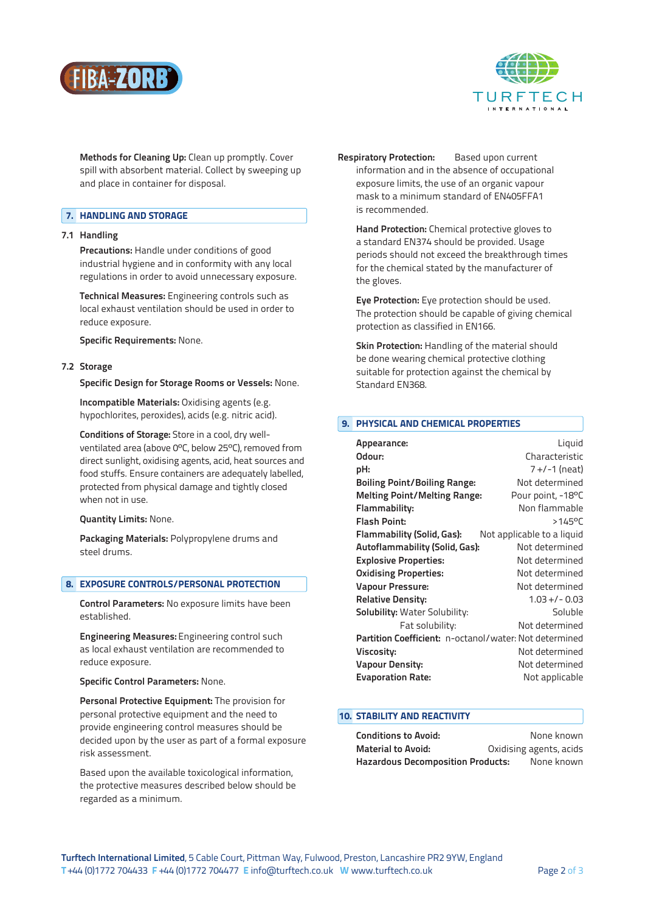



Methods for Cleaning Up: Clean up promptly. Cover spill with absorbent material. Collect by sweeping up and place in container for disposal.

# 7. HANDLING AND STORAGE

## 7.1 Handling

Precautions: Handle under conditions of good industrial hygiene and in conformity with any local regulations in order to avoid unnecessary exposure.

Technical Measures: Engineering controls such as local exhaust ventilation should be used in order to reduce exposure.

Specific Requirements: None.

## 7.2 Storage

Specific Design for Storage Rooms or Vessels: None.

Incompatible Materials: Oxidising agents (e.g. hypochlorites, peroxides), acids (e.g. nitric acid).

Conditions of Storage: Store in a cool, dry wellventilated area (above 0ºC, below 25ºC), removed from direct sunlight, oxidising agents, acid, heat sources and food stuffs. Ensure containers are adequately labelled, protected from physical damage and tightly closed when not in use.

Quantity Limits: None.

Packaging Materials: Polypropylene drums and steel drums.

# 8. EXPOSURE CONTROLS/PERSONAL PROTECTION

Control Parameters: No exposure limits have been established.

Engineering Measures: Engineering control such as local exhaust ventilation are recommended to reduce exposure.

# Specific Control Parameters: None.

Personal Protective Equipment: The provision for personal protective equipment and the need to provide engineering control measures should be decided upon by the user as part of a formal exposure risk assessment.

 Based upon the available toxicological information, the protective measures described below should be regarded as a minimum.

Respiratory Protection: Based upon current information and in the absence of occupational exposure limits, the use of an organic vapour mask to a minimum standard of EN405FFA1 is recommended.

Hand Protection: Chemical protective gloves to a standard EN374 should be provided. Usage periods should not exceed the breakthrough times for the chemical stated by the manufacturer of the gloves.

Eye Protection: Eye protection should be used. The protection should be capable of giving chemical protection as classified in EN166.

Skin Protection: Handling of the material should be done wearing chemical protective clothing suitable for protection against the chemical by Standard EN368.

## 9. PHYSICAL AND CHEMICAL PROPERTIES

| Appearance:                                                   | Liquid                     |
|---------------------------------------------------------------|----------------------------|
| Odour:                                                        | Characteristic             |
| pH:                                                           | 7 +/-1 (neat)              |
| <b>Boiling Point/Boiling Range:</b>                           | Not determined             |
| <b>Melting Point/Melting Range:</b>                           | Pour point, -18°C          |
| Flammability:                                                 | Non flammable              |
| <b>Flash Point:</b>                                           | $>145^{\circ}$ C           |
| Flammability (Solid, Gas):                                    | Not applicable to a liquid |
| Autoflammability (Solid, Gas):                                | Not determined             |
| <b>Explosive Properties:</b>                                  | Not determined             |
| <b>Oxidising Properties:</b>                                  | Not determined             |
| <b>Vapour Pressure:</b>                                       | Not determined             |
| <b>Relative Density:</b>                                      | $1.03 + / - 0.03$          |
| <b>Solubility:</b> Water Solubility:                          | Soluble                    |
| Fat solubility:                                               | Not determined             |
| <b>Partition Coefficient:</b> n-octanol/water: Not determined |                            |
| Viscosity:                                                    | Not determined             |
| <b>Vapour Density:</b>                                        | Not determined             |
| <b>Evaporation Rate:</b>                                      | Not applicable             |

## 10. STABILITY AND REACTIVITY

| <b>Conditions to Avoid:</b>              | None known              |
|------------------------------------------|-------------------------|
| <b>Material to Avoid:</b>                | Oxidising agents, acids |
| <b>Hazardous Decomposition Products:</b> | None known              |